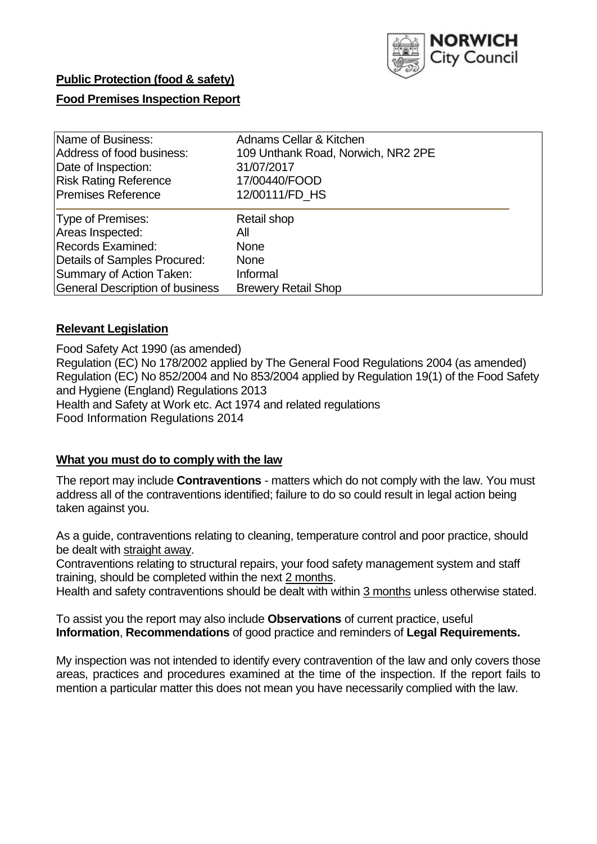

# **Public Protection (food & safety)**

## **Food Premises Inspection Report**

| Name of Business:                      | Adnams Cellar & Kitchen            |
|----------------------------------------|------------------------------------|
| Address of food business:              | 109 Unthank Road, Norwich, NR2 2PE |
| Date of Inspection:                    | 31/07/2017                         |
| <b>Risk Rating Reference</b>           | 17/00440/FOOD                      |
| <b>Premises Reference</b>              | 12/00111/FD HS                     |
| Type of Premises:                      | Retail shop                        |
| Areas Inspected:                       | Αll                                |
| <b>Records Examined:</b>               | <b>None</b>                        |
| Details of Samples Procured:           | <b>None</b>                        |
| Summary of Action Taken:               | Informal                           |
| <b>General Description of business</b> | <b>Brewery Retail Shop</b>         |

## **Relevant Legislation**

Food Safety Act 1990 (as amended) Regulation (EC) No 178/2002 applied by The General Food Regulations 2004 (as amended) Regulation (EC) No 852/2004 and No 853/2004 applied by Regulation 19(1) of the Food Safety and Hygiene (England) Regulations 2013 Health and Safety at Work etc. Act 1974 and related regulations Food Information Regulations 2014

#### **What you must do to comply with the law**

The report may include **Contraventions** - matters which do not comply with the law. You must address all of the contraventions identified; failure to do so could result in legal action being taken against you.

As a guide, contraventions relating to cleaning, temperature control and poor practice, should be dealt with straight away.

Contraventions relating to structural repairs, your food safety management system and staff training, should be completed within the next 2 months.

Health and safety contraventions should be dealt with within 3 months unless otherwise stated.

To assist you the report may also include **Observations** of current practice, useful **Information**, **Recommendations** of good practice and reminders of **Legal Requirements.**

My inspection was not intended to identify every contravention of the law and only covers those areas, practices and procedures examined at the time of the inspection. If the report fails to mention a particular matter this does not mean you have necessarily complied with the law.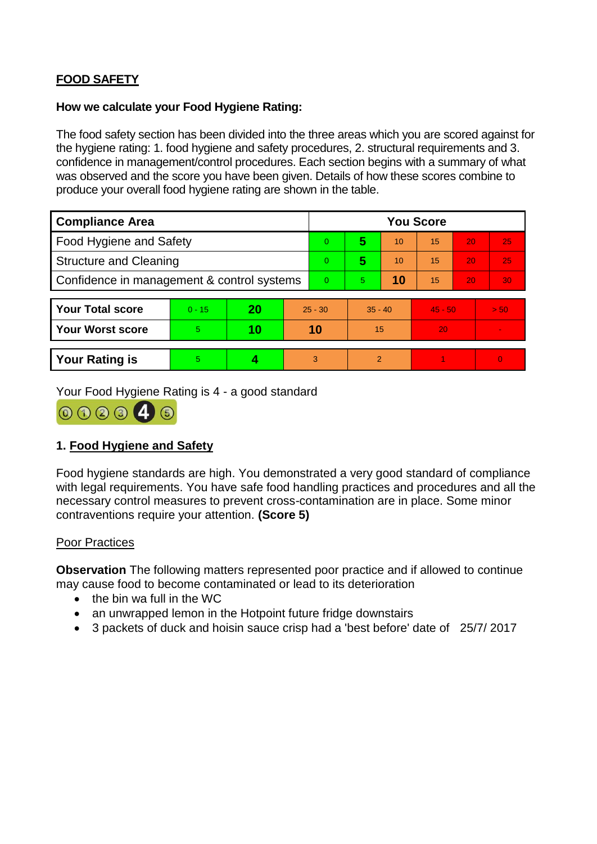# **FOOD SAFETY**

#### **How we calculate your Food Hygiene Rating:**

The food safety section has been divided into the three areas which you are scored against for the hygiene rating: 1. food hygiene and safety procedures, 2. structural requirements and 3. confidence in management/control procedures. Each section begins with a summary of what was observed and the score you have been given. Details of how these scores combine to produce your overall food hygiene rating are shown in the table.

| <b>Compliance Area</b>                     |          |    |                | <b>You Score</b> |                |    |           |    |                |  |  |
|--------------------------------------------|----------|----|----------------|------------------|----------------|----|-----------|----|----------------|--|--|
| Food Hygiene and Safety                    |          |    |                | 0                | 5              | 10 | 15        | 20 | 25             |  |  |
| <b>Structure and Cleaning</b>              |          |    |                | $\Omega$         | 5              | 10 | 15        | 20 | 25             |  |  |
| Confidence in management & control systems |          |    | $\overline{0}$ | 5                | 10             | 15 | 20        | 30 |                |  |  |
|                                            |          |    |                |                  |                |    |           |    |                |  |  |
| <b>Your Total score</b>                    | $0 - 15$ | 20 | $25 - 30$      |                  | $35 - 40$      |    | $45 - 50$ |    | > 50           |  |  |
| Your Worst score                           | 5.       | 10 | 10             |                  | 15             |    | 20        |    | $\blacksquare$ |  |  |
|                                            |          |    |                |                  |                |    |           |    |                |  |  |
| <b>Your Rating is</b>                      | 5        |    |                | 3                | $\overline{2}$ |    |           |    | $\overline{0}$ |  |  |

Your Food Hygiene Rating is 4 - a good standard



## **1. Food Hygiene and Safety**

Food hygiene standards are high. You demonstrated a very good standard of compliance with legal requirements. You have safe food handling practices and procedures and all the necessary control measures to prevent cross-contamination are in place. Some minor contraventions require your attention. **(Score 5)**

#### Poor Practices

**Observation** The following matters represented poor practice and if allowed to continue may cause food to become contaminated or lead to its deterioration

- $\bullet$  the bin wa full in the WC
- an unwrapped lemon in the Hotpoint future fridge downstairs
- 3 packets of duck and hoisin sauce crisp had a 'best before' date of 25/7/2017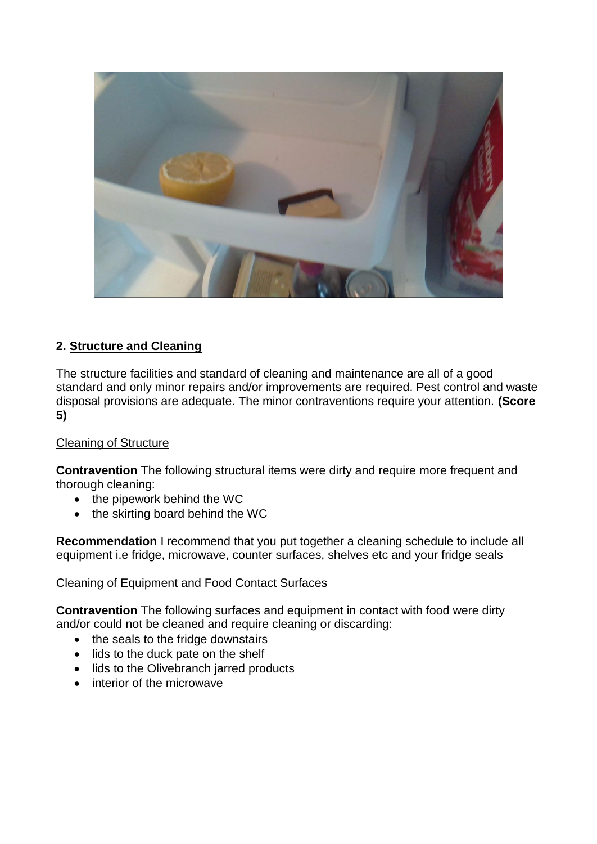

# **2. Structure and Cleaning**

The structure facilities and standard of cleaning and maintenance are all of a good standard and only minor repairs and/or improvements are required. Pest control and waste disposal provisions are adequate. The minor contraventions require your attention. **(Score 5)**

## Cleaning of Structure

**Contravention** The following structural items were dirty and require more frequent and thorough cleaning:

- the pipework behind the WC
- the skirting board behind the WC

**Recommendation** I recommend that you put together a cleaning schedule to include all equipment i.e fridge, microwave, counter surfaces, shelves etc and your fridge seals

#### Cleaning of Equipment and Food Contact Surfaces

**Contravention** The following surfaces and equipment in contact with food were dirty and/or could not be cleaned and require cleaning or discarding:

- the seals to the fridge downstairs
- lids to the duck pate on the shelf
- lids to the Olivebranch jarred products
- interior of the microwave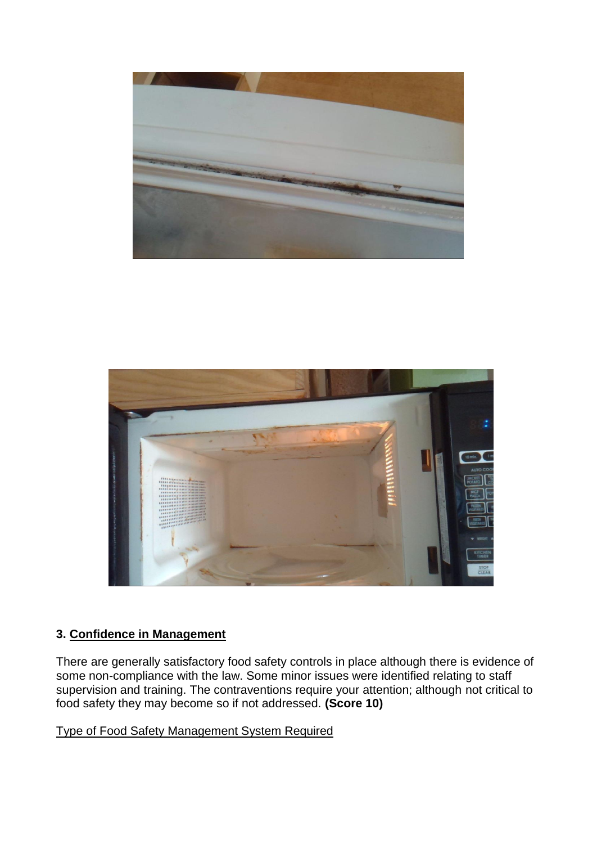



## **3. Confidence in Management**

There are generally satisfactory food safety controls in place although there is evidence of some non-compliance with the law. Some minor issues were identified relating to staff supervision and training. The contraventions require your attention; although not critical to food safety they may become so if not addressed. **(Score 10)**

Type of Food Safety Management System Required